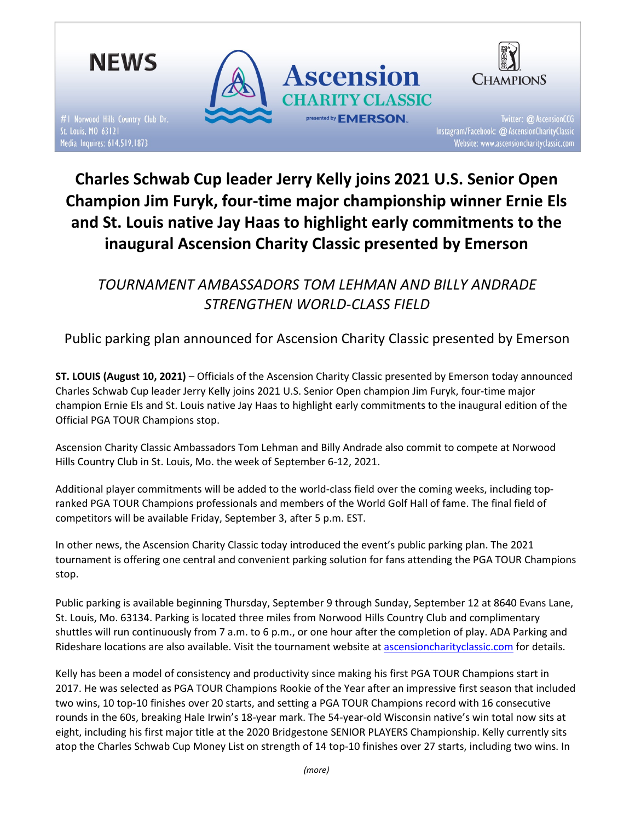

# Charles Schwab Cup leader Jerry Kelly joins 2021 U.S. Senior Open Champion Jim Furyk, four-time major championship winner Ernie Els and St. Louis native Jay Haas to highlight early commitments to the inaugural Ascension Charity Classic presented by Emerson

TOURNAMENT AMBASSADORS TOM LEHMAN AND BILLY ANDRADE STRENGTHEN WORLD-CLASS FIELD

Public parking plan announced for Ascension Charity Classic presented by Emerson

ST. LOUIS (August 10, 2021) – Officials of the Ascension Charity Classic presented by Emerson today announced Charles Schwab Cup leader Jerry Kelly joins 2021 U.S. Senior Open champion Jim Furyk, four-time major champion Ernie Els and St. Louis native Jay Haas to highlight early commitments to the inaugural edition of the Official PGA TOUR Champions stop.

Ascension Charity Classic Ambassadors Tom Lehman and Billy Andrade also commit to compete at Norwood Hills Country Club in St. Louis, Mo. the week of September 6-12, 2021.

Additional player commitments will be added to the world-class field over the coming weeks, including topranked PGA TOUR Champions professionals and members of the World Golf Hall of fame. The final field of competitors will be available Friday, September 3, after 5 p.m. EST.

In other news, the Ascension Charity Classic today introduced the event's public parking plan. The 2021 tournament is offering one central and convenient parking solution for fans attending the PGA TOUR Champions stop.

Public parking is available beginning Thursday, September 9 through Sunday, September 12 at 8640 Evans Lane, St. Louis, Mo. 63134. Parking is located three miles from Norwood Hills Country Club and complimentary shuttles will run continuously from 7 a.m. to 6 p.m., or one hour after the completion of play. ADA Parking and Rideshare locations are also available. Visit the tournament website at ascensioncharityclassic.com for details.

Kelly has been a model of consistency and productivity since making his first PGA TOUR Champions start in 2017. He was selected as PGA TOUR Champions Rookie of the Year after an impressive first season that included two wins, 10 top-10 finishes over 20 starts, and setting a PGA TOUR Champions record with 16 consecutive rounds in the 60s, breaking Hale Irwin's 18-year mark. The 54-year-old Wisconsin native's win total now sits at eight, including his first major title at the 2020 Bridgestone SENIOR PLAYERS Championship. Kelly currently sits atop the Charles Schwab Cup Money List on strength of 14 top-10 finishes over 27 starts, including two wins. In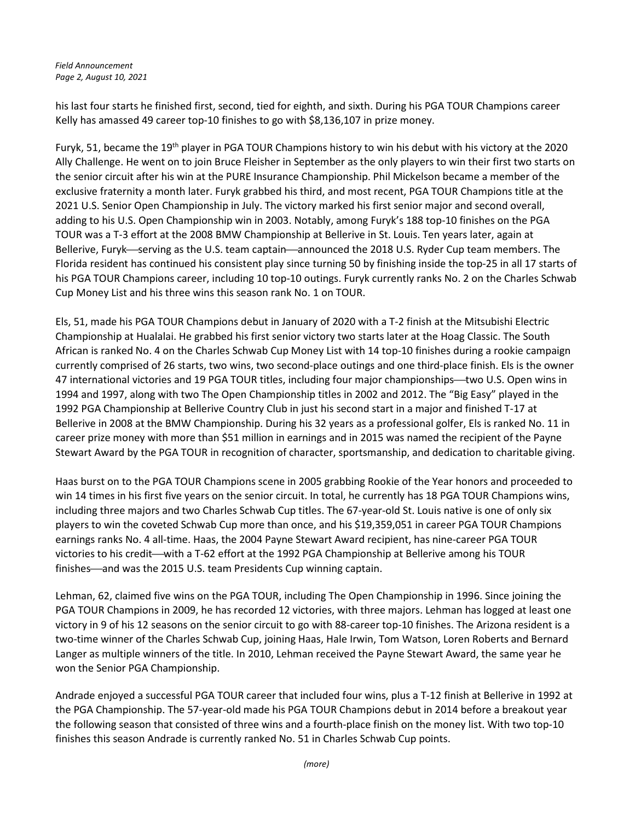Field Announcement Page 2, August 10, 2021

his last four starts he finished first, second, tied for eighth, and sixth. During his PGA TOUR Champions career Kelly has amassed 49 career top-10 finishes to go with \$8,136,107 in prize money.

Furyk, 51, became the 19th player in PGA TOUR Champions history to win his debut with his victory at the 2020 Ally Challenge. He went on to join Bruce Fleisher in September as the only players to win their first two starts on the senior circuit after his win at the PURE Insurance Championship. Phil Mickelson became a member of the exclusive fraternity a month later. Furyk grabbed his third, and most recent, PGA TOUR Champions title at the 2021 U.S. Senior Open Championship in July. The victory marked his first senior major and second overall, adding to his U.S. Open Championship win in 2003. Notably, among Furyk's 188 top-10 finishes on the PGA TOUR was a T-3 effort at the 2008 BMW Championship at Bellerive in St. Louis. Ten years later, again at Bellerive, Furyk—serving as the U.S. team captain—announced the 2018 U.S. Ryder Cup team members. The Florida resident has continued his consistent play since turning 50 by finishing inside the top-25 in all 17 starts of his PGA TOUR Champions career, including 10 top-10 outings. Furyk currently ranks No. 2 on the Charles Schwab Cup Money List and his three wins this season rank No. 1 on TOUR.

Els, 51, made his PGA TOUR Champions debut in January of 2020 with a T-2 finish at the Mitsubishi Electric Championship at Hualalai. He grabbed his first senior victory two starts later at the Hoag Classic. The South African is ranked No. 4 on the Charles Schwab Cup Money List with 14 top-10 finishes during a rookie campaign currently comprised of 26 starts, two wins, two second-place outings and one third-place finish. Els is the owner 47 international victories and 19 PGA TOUR titles, including four major championships—two U.S. Open wins in 1994 and 1997, along with two The Open Championship titles in 2002 and 2012. The "Big Easy" played in the 1992 PGA Championship at Bellerive Country Club in just his second start in a major and finished T-17 at Bellerive in 2008 at the BMW Championship. During his 32 years as a professional golfer, Els is ranked No. 11 in career prize money with more than \$51 million in earnings and in 2015 was named the recipient of the Payne Stewart Award by the PGA TOUR in recognition of character, sportsmanship, and dedication to charitable giving.

Haas burst on to the PGA TOUR Champions scene in 2005 grabbing Rookie of the Year honors and proceeded to win 14 times in his first five years on the senior circuit. In total, he currently has 18 PGA TOUR Champions wins, including three majors and two Charles Schwab Cup titles. The 67-year-old St. Louis native is one of only six players to win the coveted Schwab Cup more than once, and his \$19,359,051 in career PGA TOUR Champions earnings ranks No. 4 all-time. Haas, the 2004 Payne Stewart Award recipient, has nine-career PGA TOUR victories to his credit—with a T-62 effort at the 1992 PGA Championship at Bellerive among his TOUR finishes—and was the 2015 U.S. team Presidents Cup winning captain.

Lehman, 62, claimed five wins on the PGA TOUR, including The Open Championship in 1996. Since joining the PGA TOUR Champions in 2009, he has recorded 12 victories, with three majors. Lehman has logged at least one victory in 9 of his 12 seasons on the senior circuit to go with 88-career top-10 finishes. The Arizona resident is a two-time winner of the Charles Schwab Cup, joining Haas, Hale Irwin, Tom Watson, Loren Roberts and Bernard Langer as multiple winners of the title. In 2010, Lehman received the Payne Stewart Award, the same year he won the Senior PGA Championship.

Andrade enjoyed a successful PGA TOUR career that included four wins, plus a T-12 finish at Bellerive in 1992 at the PGA Championship. The 57-year-old made his PGA TOUR Champions debut in 2014 before a breakout year the following season that consisted of three wins and a fourth-place finish on the money list. With two top-10 finishes this season Andrade is currently ranked No. 51 in Charles Schwab Cup points.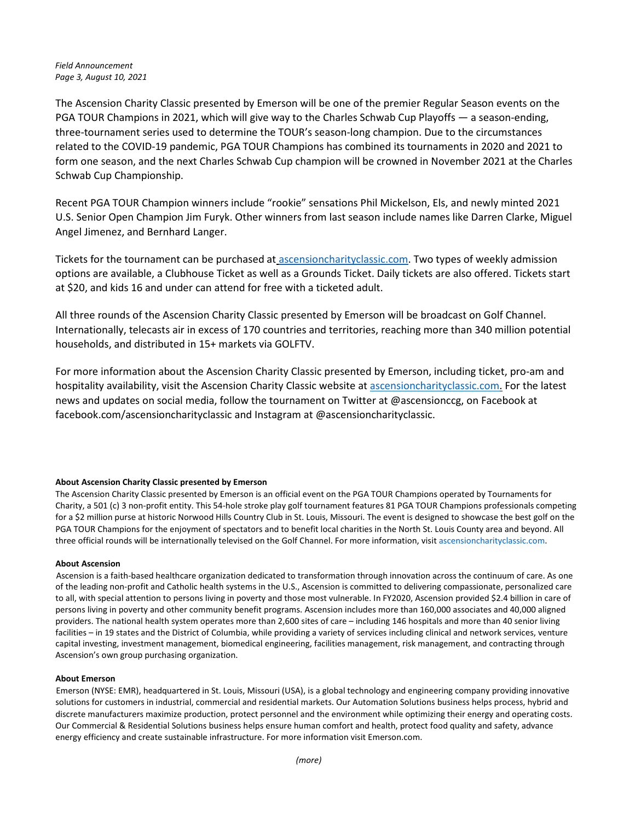## Field Announcement Page 3, August 10, 2021

The Ascension Charity Classic presented by Emerson will be one of the premier Regular Season events on the PGA TOUR Champions in 2021, which will give way to the Charles Schwab Cup Playoffs — a season-ending, three-tournament series used to determine the TOUR's season-long champion. Due to the circumstances related to the COVID-19 pandemic, PGA TOUR Champions has combined its tournaments in 2020 and 2021 to form one season, and the next Charles Schwab Cup champion will be crowned in November 2021 at the Charles Schwab Cup Championship.

Recent PGA TOUR Champion winners include "rookie" sensations Phil Mickelson, Els, and newly minted 2021 U.S. Senior Open Champion Jim Furyk. Other winners from last season include names like Darren Clarke, Miguel Angel Jimenez, and Bernhard Langer.

Tickets for the tournament can be purchased at ascensioncharityclassic.com. Two types of weekly admission options are available, a Clubhouse Ticket as well as a Grounds Ticket. Daily tickets are also offered. Tickets start at \$20, and kids 16 and under can attend for free with a ticketed adult.

All three rounds of the Ascension Charity Classic presented by Emerson will be broadcast on Golf Channel. Internationally, telecasts air in excess of 170 countries and territories, reaching more than 340 million potential households, and distributed in 15+ markets via GOLFTV.

For more information about the Ascension Charity Classic presented by Emerson, including ticket, pro-am and hospitality availability, visit the Ascension Charity Classic website at ascensioncharityclassic.com. For the latest news and updates on social media, follow the tournament on Twitter at @ascensionccg, on Facebook at facebook.com/ascensioncharityclassic and Instagram at @ascensioncharityclassic.

### About Ascension Charity Classic presented by Emerson

The Ascension Charity Classic presented by Emerson is an official event on the PGA TOUR Champions operated by Tournaments for Charity, a 501 (c) 3 non-profit entity. This 54-hole stroke play golf tournament features 81 PGA TOUR Champions professionals competing for a \$2 million purse at historic Norwood Hills Country Club in St. Louis, Missouri. The event is designed to showcase the best golf on the PGA TOUR Champions for the enjoyment of spectators and to benefit local charities in the North St. Louis County area and beyond. All three official rounds will be internationally televised on the Golf Channel. For more information, visit ascensioncharityclassic.com.

### About Ascension

Ascension is a faith-based healthcare organization dedicated to transformation through innovation across the continuum of care. As one of the leading non-profit and Catholic health systems in the U.S., Ascension is committed to delivering compassionate, personalized care to all, with special attention to persons living in poverty and those most vulnerable. In FY2020, Ascension provided \$2.4 billion in care of persons living in poverty and other community benefit programs. Ascension includes more than 160,000 associates and 40,000 aligned providers. The national health system operates more than 2,600 sites of care – including 146 hospitals and more than 40 senior living facilities – in 19 states and the District of Columbia, while providing a variety of services including clinical and network services, venture capital investing, investment management, biomedical engineering, facilities management, risk management, and contracting through Ascension's own group purchasing organization.

### About Emerson

Emerson (NYSE: EMR), headquartered in St. Louis, Missouri (USA), is a global technology and engineering company providing innovative solutions for customers in industrial, commercial and residential markets. Our Automation Solutions business helps process, hybrid and discrete manufacturers maximize production, protect personnel and the environment while optimizing their energy and operating costs. Our Commercial & Residential Solutions business helps ensure human comfort and health, protect food quality and safety, advance energy efficiency and create sustainable infrastructure. For more information visit Emerson.com.